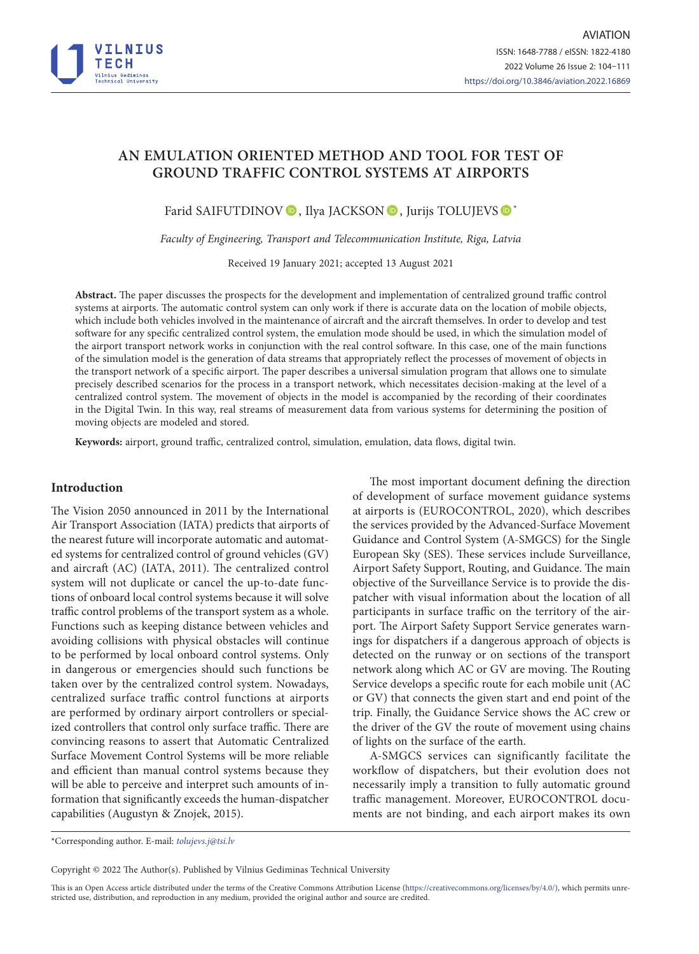

# **AN EMULATION ORIENTED METHOD AND TOOL FOR TEST OF GROUND TRAFFIC CONTROL SYSTEMS AT AIRPORTS**

Farid SAIFUTDINOV <sup>®</sup>, Ilya JACKSON <sup>®</sup>, Jurijs TOLUJEVS <sup>®</sup>\*

*Faculty of Engineering, Transport and Telecommunication Institute, Riga, Latvia*

Received 19 January 2021; accepted 13 August 2021

**Abstract.** The paper discusses the prospects for the development and implementation of centralized ground traffic control systems at airports. The automatic control system can only work if there is accurate data on the location of mobile objects, which include both vehicles involved in the maintenance of aircraft and the aircraft themselves. In order to develop and test software for any specific centralized control system, the emulation mode should be used, in which the simulation model of the airport transport network works in conjunction with the real control software. In this case, one of the main functions of the simulation model is the generation of data streams that appropriately reflect the processes of movement of objects in the transport network of a specific airport. The paper describes a universal simulation program that allows one to simulate precisely described scenarios for the process in a transport network, which necessitates decision-making at the level of a centralized control system. The movement of objects in the model is accompanied by the recording of their coordinates in the Digital Twin. In this way, real streams of measurement data from various systems for determining the position of moving objects are modeled and stored.

**Keywords:** airport, ground traffic, centralized control, simulation, emulation, data flows, digital twin.

## **Introduction**

The Vision 2050 announced in 2011 by the International Air Transport Association (IATA) predicts that airports of the nearest future will incorporate automatic and automated systems for centralized control of ground vehicles (GV) and aircraft (AC) (IATA, 2011). The centralized control system will not duplicate or cancel the up-to-date functions of onboard local control systems because it will solve traffic control problems of the transport system as a whole. Functions such as keeping distance between vehicles and avoiding collisions with physical obstacles will continue to be performed by local onboard control systems. Only in dangerous or emergencies should such functions be taken over by the centralized control system. Nowadays, centralized surface traffic control functions at airports are performed by ordinary airport controllers or specialized controllers that control only surface traffic. There are convincing reasons to assert that Automatic Centralized Surface Movement Control Systems will be more reliable and efficient than manual control systems because they will be able to perceive and interpret such amounts of information that significantly exceeds the human-dispatcher capabilities (Augustyn & Znojek, 2015).

The most important document defining the direction of development of surface movement guidance systems at airports is (EUROCONTROL, 2020), which describes the services provided by the Advanced-Surface Movement Guidance and Control System (A-SMGCS) for the Single European Sky (SES). These services include Surveillance, Airport Safety Support, Routing, and Guidance. The main objective of the Surveillance Service is to provide the dispatcher with visual information about the location of all participants in surface traffic on the territory of the airport. The Airport Safety Support Service generates warnings for dispatchers if a dangerous approach of objects is detected on the runway or on sections of the transport network along which AC or GV are moving. The Routing Service develops a specific route for each mobile unit (AC or GV) that connects the given start and end point of the trip. Finally, the Guidance Service shows the AC crew or the driver of the GV the route of movement using chains of lights on the surface of the earth.

A-SMGCS services can significantly facilitate the workflow of dispatchers, but their evolution does not necessarily imply a transition to fully automatic ground traffic management. Moreover, EUROCONTROL documents are not binding, and each airport makes its own

\*Corresponding author. E-mail: *tolujevs.j@tsi.lv*

Copyright © 2022 The Author(s). Published by Vilnius Gediminas Technical University

This is an Open Access article distributed under the terms of the Creative Commons Attribution License [\(https://creativecommons.org/licenses/by/4.0/\)](http://creativecommons.org/licenses/by/4.0/), which permits unrestricted use, distribution, and reproduction in any medium, provided the original author and source are credited.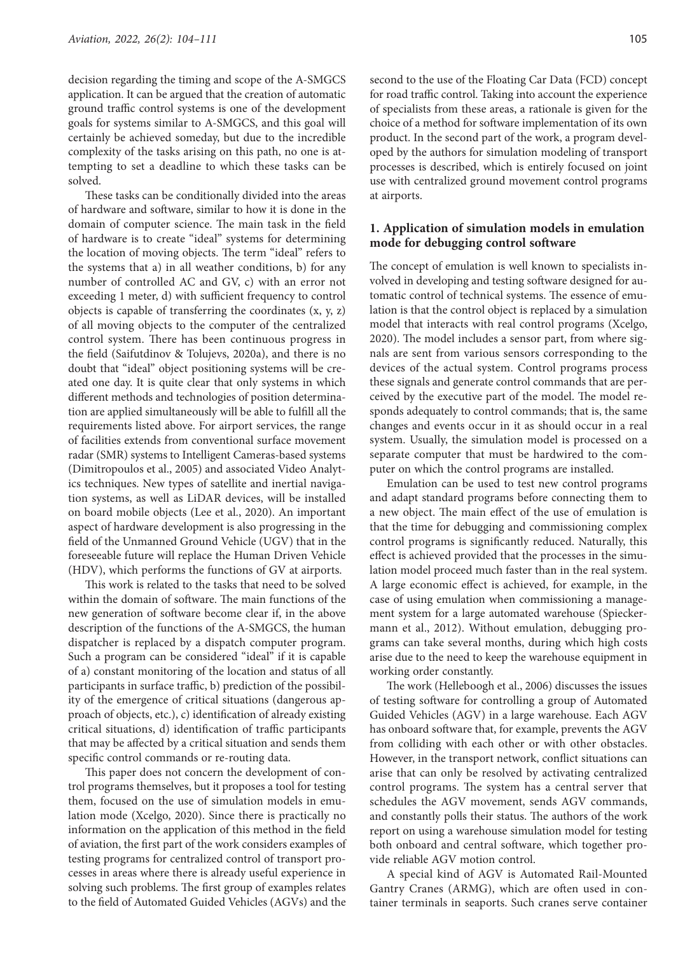decision regarding the timing and scope of the A-SMGCS application. It can be argued that the creation of automatic ground traffic control systems is one of the development goals for systems similar to A-SMGCS, and this goal will certainly be achieved someday, but due to the incredible complexity of the tasks arising on this path, no one is attempting to set a deadline to which these tasks can be solved.

These tasks can be conditionally divided into the areas of hardware and software, similar to how it is done in the domain of computer science. The main task in the field of hardware is to create "ideal" systems for determining the location of moving objects. The term "ideal" refers to the systems that a) in all weather conditions, b) for any number of controlled AC and GV, c) with an error not exceeding 1 meter, d) with sufficient frequency to control objects is capable of transferring the coordinates (x, y, z) of all moving objects to the computer of the centralized control system. There has been continuous progress in the field (Saifutdinov & Tolujevs, 2020a), and there is no doubt that "ideal" object positioning systems will be created one day. It is quite clear that only systems in which different methods and technologies of position determination are applied simultaneously will be able to fulfill all the requirements listed above. For airport services, the range of facilities extends from conventional surface movement radar (SMR) systems to Intelligent Cameras-based systems (Dimitropoulos et al., 2005) and associated Video Analytics techniques. New types of satellite and inertial navigation systems, as well as LiDAR devices, will be installed on board mobile objects (Lee et al., 2020). An important aspect of hardware development is also progressing in the field of the Unmanned Ground Vehicle (UGV) that in the foreseeable future will replace the Human Driven Vehicle (HDV), which performs the functions of GV at airports.

This work is related to the tasks that need to be solved within the domain of software. The main functions of the new generation of software become clear if, in the above description of the functions of the A-SMGCS, the human dispatcher is replaced by a dispatch computer program. Such a program can be considered "ideal" if it is capable of a) constant monitoring of the location and status of all participants in surface traffic, b) prediction of the possibility of the emergence of critical situations (dangerous approach of objects, etc.), c) identification of already existing critical situations, d) identification of traffic participants that may be affected by a critical situation and sends them specific control commands or re-routing data.

This paper does not concern the development of control programs themselves, but it proposes a tool for testing them, focused on the use of simulation models in emulation mode (Xcelgo, 2020). Since there is practically no information on the application of this method in the field of aviation, the first part of the work considers examples of testing programs for centralized control of transport processes in areas where there is already useful experience in solving such problems. The first group of examples relates to the field of Automated Guided Vehicles (AGVs) and the second to the use of the Floating Car Data (FCD) concept for road traffic control. Taking into account the experience of specialists from these areas, a rationale is given for the choice of a method for software implementation of its own product. In the second part of the work, a program developed by the authors for simulation modeling of transport processes is described, which is entirely focused on joint use with centralized ground movement control programs at airports.

# **1. Application of simulation models in emulation mode for debugging control software**

The concept of emulation is well known to specialists involved in developing and testing software designed for automatic control of technical systems. The essence of emulation is that the control object is replaced by a simulation model that interacts with real control programs (Xcelgo, 2020). The model includes a sensor part, from where signals are sent from various sensors corresponding to the devices of the actual system. Control programs process these signals and generate control commands that are perceived by the executive part of the model. The model responds adequately to control commands; that is, the same changes and events occur in it as should occur in a real system. Usually, the simulation model is processed on a separate computer that must be hardwired to the computer on which the control programs are installed.

Emulation can be used to test new control programs and adapt standard programs before connecting them to a new object. The main effect of the use of emulation is that the time for debugging and commissioning complex control programs is significantly reduced. Naturally, this effect is achieved provided that the processes in the simulation model proceed much faster than in the real system. A large economic effect is achieved, for example, in the case of using emulation when commissioning a management system for a large automated warehouse (Spieckermann et al., 2012). Without emulation, debugging programs can take several months, during which high costs arise due to the need to keep the warehouse equipment in working order constantly.

The work (Helleboogh et al., 2006) discusses the issues of testing software for controlling a group of Automated Guided Vehicles (AGV) in a large warehouse. Each AGV has onboard software that, for example, prevents the AGV from colliding with each other or with other obstacles. However, in the transport network, conflict situations can arise that can only be resolved by activating centralized control programs. The system has a central server that schedules the AGV movement, sends AGV commands, and constantly polls their status. The authors of the work report on using a warehouse simulation model for testing both onboard and central software, which together provide reliable AGV motion control.

A special kind of AGV is Automated Rail-Mounted Gantry Cranes (ARMG), which are often used in container terminals in seaports. Such cranes serve container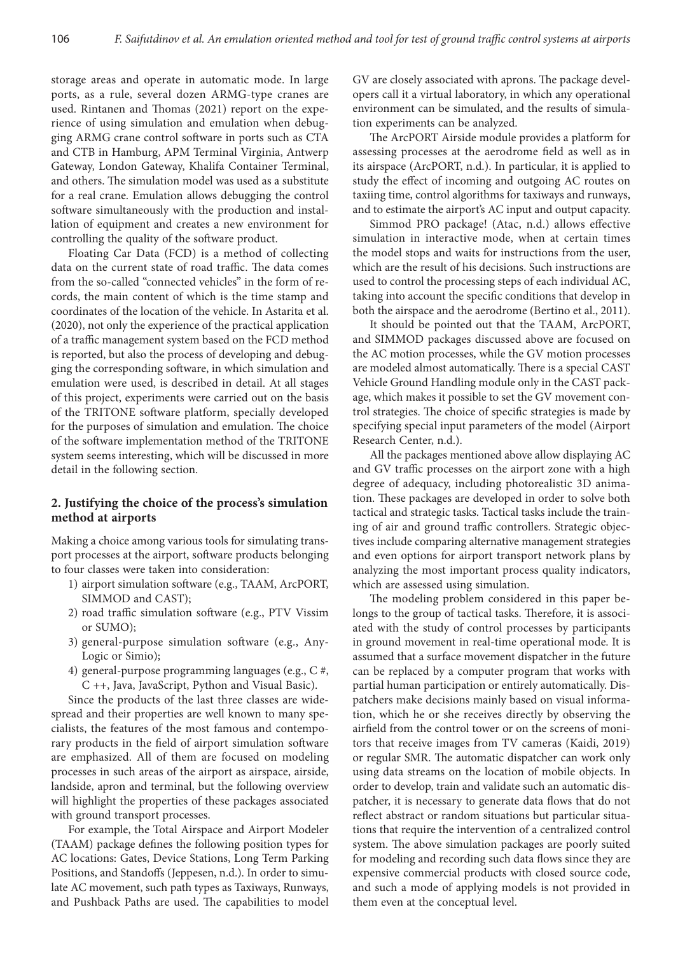storage areas and operate in automatic mode. In large ports, as a rule, several dozen ARMG-type cranes are used. Rintanen and Thomas (2021) report on the experience of using simulation and emulation when debugging ARMG crane control software in ports such as CTA and CTB in Hamburg, APM Terminal Virginia, Antwerp Gateway, London Gateway, Khalifa Container Terminal, and others. The simulation model was used as a substitute for a real crane. Emulation allows debugging the control software simultaneously with the production and installation of equipment and creates a new environment for controlling the quality of the software product.

Floating Car Data (FCD) is a method of collecting data on the current state of road traffic. The data comes from the so-called "connected vehicles" in the form of records, the main content of which is the time stamp and coordinates of the location of the vehicle. In Astarita et al. (2020), not only the experience of the practical application of a traffic management system based on the FCD method is reported, but also the process of developing and debugging the corresponding software, in which simulation and emulation were used, is described in detail. At all stages of this project, experiments were carried out on the basis of the TRITONE software platform, specially developed for the purposes of simulation and emulation. The choice of the software implementation method of the TRITONE system seems interesting, which will be discussed in more detail in the following section.

## **2. Justifying the choice of the process's simulation method at airports**

Making a choice among various tools for simulating transport processes at the airport, software products belonging to four classes were taken into consideration:

- 1) airport simulation software (e.g., TAAM, ArcPORT, SIMMOD and CAST);
- 2) road traffic simulation software (e.g., PTV Vissim or SUMO);
- 3) general-purpose simulation software (e.g., Any-Logic or Simio);
- 4) general-purpose programming languages (e.g., C #, C ++, Java, JavaScript, Python and Visual Basic).

Since the products of the last three classes are widespread and their properties are well known to many specialists, the features of the most famous and contemporary products in the field of airport simulation software are emphasized. All of them are focused on modeling processes in such areas of the airport as airspace, airside, landside, apron and terminal, but the following overview will highlight the properties of these packages associated with ground transport processes.

For example, the Total Airspace and Airport Modeler (TAAM) package defines the following position types for AC locations: Gates, Device Stations, Long Term Parking Positions, and Standoffs (Jeppesen, n.d.). In order to simulate AC movement, such path types as Taxiways, Runways, and Pushback Paths are used. The capabilities to model

GV are closely associated with aprons. The package developers call it a virtual laboratory, in which any operational environment can be simulated, and the results of simulation experiments can be analyzed.

The ArcPORT Airside module provides a platform for assessing processes at the aerodrome field as well as in its airspace (ArcPORT, n.d.). In particular, it is applied to study the effect of incoming and outgoing AC routes on taxiing time, control algorithms for taxiways and runways, and to estimate the airport's AC input and output capacity.

Simmod PRO package! (Atac, n.d.) allows effective simulation in interactive mode, when at certain times the model stops and waits for instructions from the user, which are the result of his decisions. Such instructions are used to control the processing steps of each individual AC, taking into account the specific conditions that develop in both the airspace and the aerodrome (Bertino et al., 2011).

It should be pointed out that the TAAM, ArcPORT, and SIMMOD packages discussed above are focused on the AC motion processes, while the GV motion processes are modeled almost automatically. There is a special CAST Vehicle Ground Handling module only in the CAST package, which makes it possible to set the GV movement control strategies. The choice of specific strategies is made by specifying special input parameters of the model (Airport Research Center, n.d.).

All the packages mentioned above allow displaying AC and GV traffic processes on the airport zone with a high degree of adequacy, including photorealistic 3D animation. These packages are developed in order to solve both tactical and strategic tasks. Tactical tasks include the training of air and ground traffic controllers. Strategic objectives include comparing alternative management strategies and even options for airport transport network plans by analyzing the most important process quality indicators, which are assessed using simulation.

The modeling problem considered in this paper belongs to the group of tactical tasks. Therefore, it is associated with the study of control processes by participants in ground movement in real-time operational mode. It is assumed that a surface movement dispatcher in the future can be replaced by a computer program that works with partial human participation or entirely automatically. Dispatchers make decisions mainly based on visual information, which he or she receives directly by observing the airfield from the control tower or on the screens of monitors that receive images from TV cameras (Kaidi, 2019) or regular SMR. The automatic dispatcher can work only using data streams on the location of mobile objects. In order to develop, train and validate such an automatic dispatcher, it is necessary to generate data flows that do not reflect abstract or random situations but particular situations that require the intervention of a centralized control system. The above simulation packages are poorly suited for modeling and recording such data flows since they are expensive commercial products with closed source code, and such a mode of applying models is not provided in them even at the conceptual level.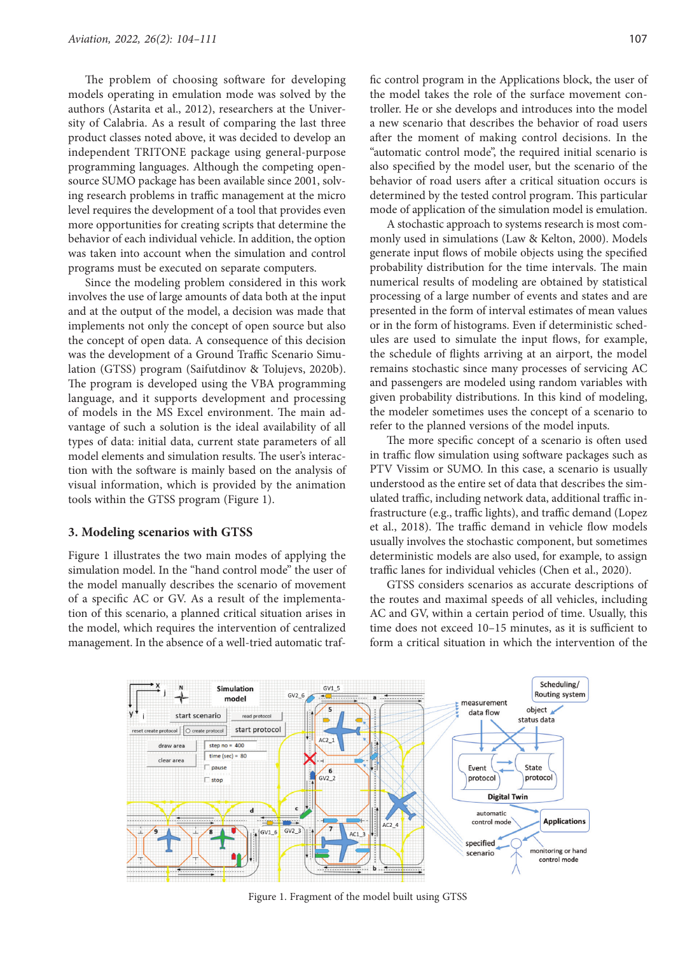The problem of choosing software for developing models operating in emulation mode was solved by the authors (Astarita et al., 2012), researchers at the University of Calabria. As a result of comparing the last three product classes noted above, it was decided to develop an independent TRITONE package using general-purpose programming languages. Although the competing opensource SUMO package has been available since 2001, solving research problems in traffic management at the micro level requires the development of a tool that provides even more opportunities for creating scripts that determine the behavior of each individual vehicle. In addition, the option was taken into account when the simulation and control programs must be executed on separate computers.

Since the modeling problem considered in this work involves the use of large amounts of data both at the input and at the output of the model, a decision was made that implements not only the concept of open source but also the concept of open data. A consequence of this decision was the development of a Ground Traffic Scenario Simulation (GTSS) program (Saifutdinov & Tolujevs, 2020b). The program is developed using the VBA programming language, and it supports development and processing of models in the MS Excel environment. The main advantage of such a solution is the ideal availability of all types of data: initial data, current state parameters of all model elements and simulation results. The user's interaction with the software is mainly based on the analysis of visual information, which is provided by the animation tools within the GTSS program (Figure 1).

#### **3. Modeling scenarios with GTSS**

Figure 1 illustrates the two main modes of applying the simulation model. In the "hand control mode" the user of the model manually describes the scenario of movement of a specific AC or GV. As a result of the implementation of this scenario, a planned critical situation arises in the model, which requires the intervention of centralized management. In the absence of a well-tried automatic traffic control program in the Applications block, the user of the model takes the role of the surface movement controller. He or she develops and introduces into the model a new scenario that describes the behavior of road users after the moment of making control decisions. In the "automatic control mode", the required initial scenario is also specified by the model user, but the scenario of the behavior of road users after a critical situation occurs is determined by the tested control program. This particular mode of application of the simulation model is emulation.

A stochastic approach to systems research is most commonly used in simulations (Law & Kelton, 2000). Models generate input flows of mobile objects using the specified probability distribution for the time intervals. The main numerical results of modeling are obtained by statistical processing of a large number of events and states and are presented in the form of interval estimates of mean values or in the form of histograms. Even if deterministic schedules are used to simulate the input flows, for example, the schedule of flights arriving at an airport, the model remains stochastic since many processes of servicing AC and passengers are modeled using random variables with given probability distributions. In this kind of modeling, the modeler sometimes uses the concept of a scenario to refer to the planned versions of the model inputs.

The more specific concept of a scenario is often used in traffic flow simulation using software packages such as PTV Vissim or SUMO. In this case, a scenario is usually understood as the entire set of data that describes the simulated traffic, including network data, additional traffic infrastructure (e.g., traffic lights), and traffic demand (Lopez et al., 2018). The traffic demand in vehicle flow models usually involves the stochastic component, but sometimes deterministic models are also used, for example, to assign traffic lanes for individual vehicles (Chen et al., 2020).

GTSS considers scenarios as accurate descriptions of the routes and maximal speeds of all vehicles, including AC and GV, within a certain period of time. Usually, this time does not exceed  $10-15$  minutes, as it is sufficient to form a critical situation in which the intervention of the



Figure 1. Fragment of the model built using GTSS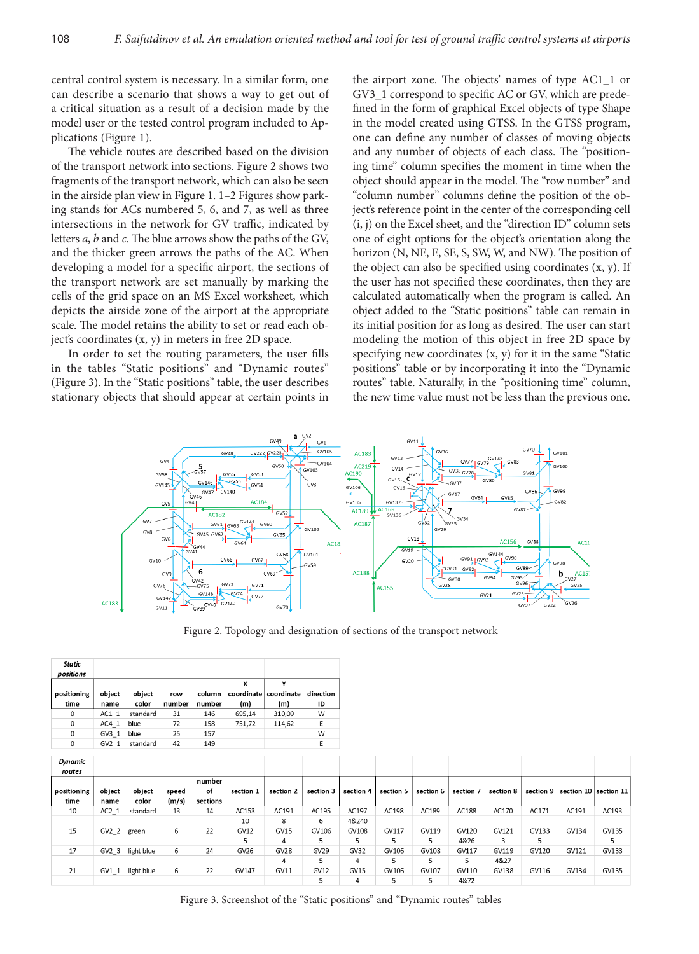central control system is necessary. In a similar form, one can describe a scenario that shows a way to get out of a critical situation as a result of a decision made by the model user or the tested control program included to Applications (Figure 1).

The vehicle routes are described based on the division of the transport network into sections. Figure 2 shows two fragments of the transport network, which can also be seen in the airside plan view in Figure 1. 1–2 Figures show parking stands for ACs numbered 5, 6, and 7, as well as three intersections in the network for GV traffic, indicated by letters *a*, *b* and *c*. The blue arrows show the paths of the GV, and the thicker green arrows the paths of the AC. When developing a model for a specific airport, the sections of the transport network are set manually by marking the cells of the grid space on an MS Excel worksheet, which depicts the airside zone of the airport at the appropriate scale. The model retains the ability to set or read each object's coordinates (x, y) in meters in free 2D space.

In order to set the routing parameters, the user fills in the tables "Static positions" and "Dynamic routes" (Figure 3). In the "Static positions" table, the user describes stationary objects that should appear at certain points in

the airport zone. The objects' names of type AC1\_1 or GV3\_1 correspond to specific AC or GV, which are predefined in the form of graphical Excel objects of type Shape in the model created using GTSS. In the GTSS program, one can define any number of classes of moving objects and any number of objects of each class. The "positioning time" column specifies the moment in time when the object should appear in the model. The "row number" and "column number" columns define the position of the object's reference point in the center of the corresponding cell (i, j) on the Excel sheet, and the "direction ID" column sets one of eight options for the object's orientation along the horizon (N, NE, E, SE, S, SW, W, and NW). The position of the object can also be specified using coordinates  $(x, y)$ . If the user has not specified these coordinates, then they are calculated automatically when the program is called. An object added to the "Static positions" table can remain in its initial position for as long as desired. The user can start modeling the motion of this object in free 2D space by specifying new coordinates (x, y) for it in the same "Static positions" table or by incorporating it into the "Dynamic routes" table. Naturally, in the "positioning time" column, the new time value must not be less than the previous one.



Figure 2. Topology and designation of sections of the transport network

| <b>Static</b><br>positions |                  |          |          |        |        |                       |           |
|----------------------------|------------------|----------|----------|--------|--------|-----------------------|-----------|
|                            |                  |          |          |        | x      |                       |           |
| positioning                | object           | object   | row      | column |        | coordinate coordinate | direction |
| time                       | name             | color    | number   | number | (m)    | (m)                   | ID        |
| 0                          | AC1 1            | standard | 31       | 146    | 695.14 | 310.09                | W         |
| 0                          | AC4 1            | blue     | 72       | 158    | 751,72 | 114.62                | E         |
| $\Omega$                   | GV3 <sub>1</sub> | blue     | 25       | 157    |        |                       | W         |
| U                          | $G1$ 1           | standard | $\Delta$ | 149    |        |                       |           |

| <b>Dynamic</b><br>routes |                  |            |       |          |              |             |             |             |           |           |           |           |           |       |                           |
|--------------------------|------------------|------------|-------|----------|--------------|-------------|-------------|-------------|-----------|-----------|-----------|-----------|-----------|-------|---------------------------|
|                          |                  |            |       | number   |              |             |             |             |           |           |           |           |           |       |                           |
| positioning              | object           | object     | speed | of       | section 1    | section 2   | section 3   | section 4   | section 5 | section 6 | section 7 | section 8 | section 9 |       | section $10$ section $11$ |
| time                     | name             | color      | (m/s) | sections |              |             |             |             |           |           |           |           |           |       |                           |
| 10                       | AC2 <sub>1</sub> | standard   | 13    | 14       | AC153        | AC191       | AC195       | AC197       | AC198     | AC189     | AC188     | AC170     | AC171     | AC191 | AC193                     |
|                          |                  |            |       |          | 10           | 8           | 6           | 4&240       |           |           |           |           |           |       |                           |
| 15                       | GV2 2 green      |            | 6     | 22       | <b>GV12</b>  | <b>GV15</b> | GV106       | GV108       | GV117     | GV119     | GV120     | GV121     | GV133     | GV134 | GV135                     |
|                          |                  |            |       |          |              | 4           |             | 5           |           |           | 4&26      | 3         |           |       | 5                         |
| 17                       | GV2 3            | light blue | 6     | 24       | GV26         | <b>GV28</b> | <b>GV29</b> | GV32        | GV106     | GV108     | GV117     | GV119     | GV120     | GV121 | GV133                     |
|                          |                  |            |       |          |              | 4           | 5           | 4           |           |           | 5         | 4&27      |           |       |                           |
| 21                       | GV1 1            | light blue | 6     | 22       | <b>GV147</b> | GV11        | <b>GV12</b> | <b>GV15</b> | GV106     | GV107     | GV110     | GV138     | GV116     | GV134 | GV135                     |
|                          |                  |            |       |          |              |             |             | 4           |           |           | 4&72      |           |           |       |                           |

Figure 3. Screenshot of the "Static positions" and "Dynamic routes" tables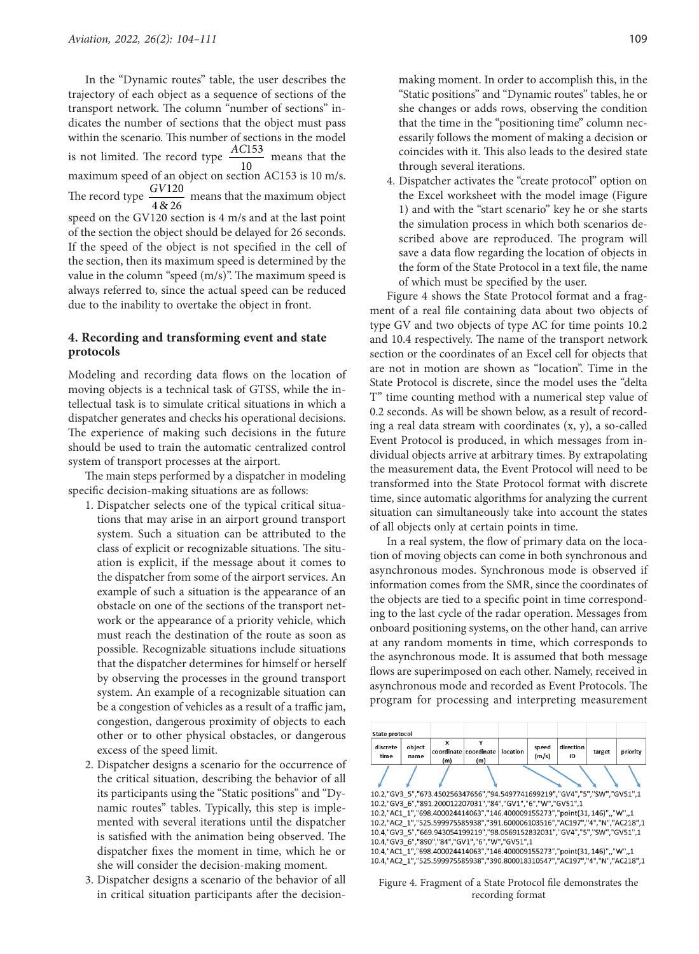In the "Dynamic routes" table, the user describes the trajectory of each object as a sequence of sections of the transport network. The column "number of sections" indicates the number of sections that the object must pass within the scenario. This number of sections in the model is not limited. The record type  $\frac{AC153}{10}$  means that the maximum speed of an object on section AC153 is 10 m/s. The record type  $\frac{GV120}{4\&26}$  means that the maximum object speed on the GV120 section is 4 m/s and at the last point of the section the object should be delayed for 26 seconds. If the speed of the object is not specified in the cell of the section, then its maximum speed is determined by the value in the column "speed (m/s)". The maximum speed is always referred to, since the actual speed can be reduced due to the inability to overtake the object in front.

# **4. Recording and transforming event and state protocols**

Modeling and recording data flows on the location of moving objects is a technical task of GTSS, while the intellectual task is to simulate critical situations in which a dispatcher generates and checks his operational decisions. The experience of making such decisions in the future should be used to train the automatic centralized control system of transport processes at the airport.

The main steps performed by a dispatcher in modeling specific decision-making situations are as follows:

- 1. Dispatcher selects one of the typical critical situations that may arise in an airport ground transport system. Such a situation can be attributed to the class of explicit or recognizable situations. The situation is explicit, if the message about it comes to the dispatcher from some of the airport services. An example of such a situation is the appearance of an obstacle on one of the sections of the transport network or the appearance of a priority vehicle, which must reach the destination of the route as soon as possible. Recognizable situations include situations that the dispatcher determines for himself or herself by observing the processes in the ground transport system. An example of a recognizable situation can be a congestion of vehicles as a result of a traffic jam, congestion, dangerous proximity of objects to each other or to other physical obstacles, or dangerous excess of the speed limit.
- 2. Dispatcher designs a scenario for the occurrence of the critical situation, describing the behavior of all its participants using the "Static positions" and "Dynamic routes" tables. Typically, this step is implemented with several iterations until the dispatcher is satisfied with the animation being observed. The dispatcher fixes the moment in time, which he or she will consider the decision-making moment.
- 3. Dispatcher designs a scenario of the behavior of all in critical situation participants after the decision-

making moment. In order to accomplish this, in the "Static positions" and "Dynamic routes" tables, he or she changes or adds rows, observing the condition that the time in the "positioning time" column necessarily follows the moment of making a decision or coincides with it. This also leads to the desired state through several iterations.

4. Dispatcher activates the "create protocol" option on the Excel worksheet with the model image (Figure 1) and with the "start scenario" key he or she starts the simulation process in which both scenarios described above are reproduced. The program will save a data flow regarding the location of objects in the form of the State Protocol in a text file, the name of which must be specified by the user.

Figure 4 shows the State Protocol format and a fragment of a real file containing data about two objects of type GV and two objects of type AC for time points 10.2 and 10.4 respectively. The name of the transport network section or the coordinates of an Excel cell for objects that are not in motion are shown as "location". Time in the State Protocol is discrete, since the model uses the "delta T" time counting method with a numerical step value of 0.2 seconds. As will be shown below, as a result of recording a real data stream with coordinates (x, y), a so-called Event Protocol is produced, in which messages from individual objects arrive at arbitrary times. By extrapolating the measurement data, the Event Protocol will need to be transformed into the State Protocol format with discrete time, since automatic algorithms for analyzing the current situation can simultaneously take into account the states of all objects only at certain points in time.

In a real system, the flow of primary data on the location of moving objects can come in both synchronous and asynchronous modes. Synchronous mode is observed if information comes from the SMR, since the coordinates of the objects are tied to a specific point in time corresponding to the last cycle of the radar operation. Messages from onboard positioning systems, on the other hand, can arrive at any random moments in time, which corresponds to the asynchronous mode. It is assumed that both message flows are superimposed on each other. Namely, received in asynchronous mode and recorded as Event Protocols. The program for processing and interpreting measurement



Figure 4. Fragment of a State Protocol file demonstrates the recording format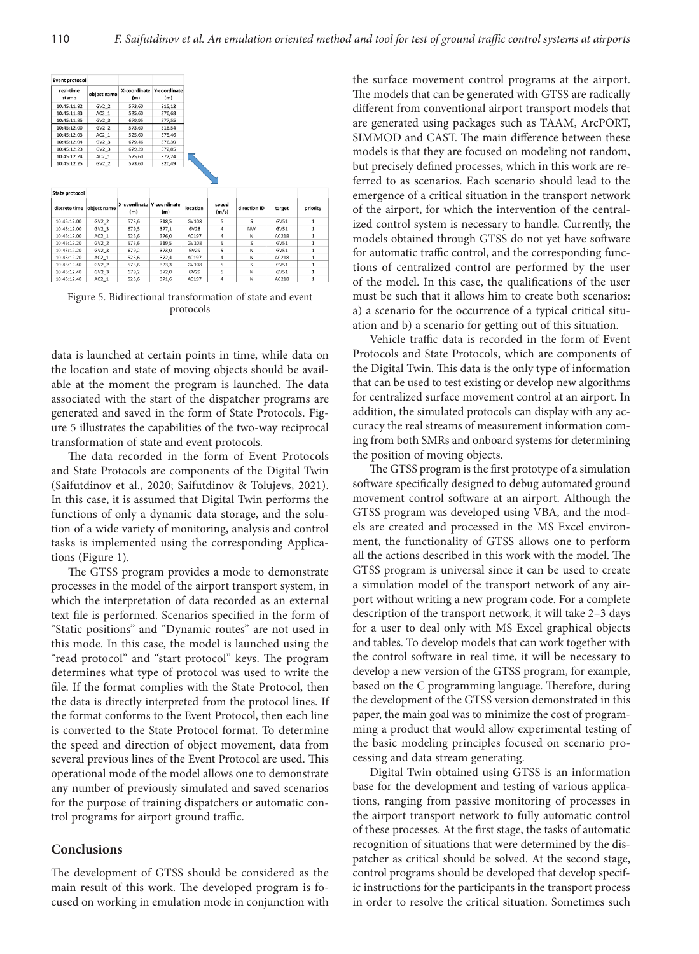| <b>Event protocol</b>         |                             |                                  |                     |          |                |              |        |                          |
|-------------------------------|-----------------------------|----------------------------------|---------------------|----------|----------------|--------------|--------|--------------------------|
| real-time<br>stamp            | object name                 | X-coordinate<br>(m)              | Y-coordinate<br>(m) |          |                |              |        |                          |
| 10:45:11.82                   | GV2 <sub>2</sub>            | 573.60                           | 315.12              |          |                |              |        |                          |
| 10:45:11.83                   | $AC2_1$                     | 525,60                           | 376,68              |          |                |              |        |                          |
| 10:45:11.85                   | GV2 <sub>3</sub>            | 679.95                           | 377,55              |          |                |              |        |                          |
| 10:45:12.00                   | GV2 2                       | 573.60                           | 318.54              |          |                |              |        |                          |
| 10:45:12.03                   | AC2 <sub>1</sub>            | 525,60                           | 375,46              |          |                |              |        |                          |
| 10:45:12.04                   | GV2 <sub>3</sub>            | 679,46                           | 376,30              |          |                |              |        |                          |
| 10:45:12.23                   | $GV2_3$                     | 679,20                           | 372,85              |          |                |              |        |                          |
| 10:45:12.24                   | AC2 <sub>1</sub>            | 525,60                           | 372,24              |          |                |              |        |                          |
| 10:45:12.25                   | GV2 2                       | 573.60                           | 320,49              |          |                |              |        |                          |
|                               |                             |                                  |                     |          |                |              |        |                          |
|                               |                             |                                  |                     |          |                |              |        |                          |
| discrete time                 | object name                 | X-coordinate Y-coordinate<br>(m) | (m)                 | location | speed<br>(m/s) | direction ID | target |                          |
| 10:45:12.00                   | GV2 <sub>2</sub>            | 573,6                            | 318,5               | GV108    | 5              | s            | GVS1   | priority<br>$\mathbf{1}$ |
| 10:45:12.00                   | GV2.3                       | 679.5                            | 377.1               | GV28     | 4              | <b>NW</b>    | GVS1   | $\mathbf{1}$             |
| 10:45:12.00                   | AC2 <sub>1</sub>            | 525,6                            | 376,0               | AC197    | 4              | N            | AC218  | $\mathbf{1}$             |
| 10:45:12.20                   | GV2 2                       | 573,6                            | 319,5               | GV108    | 5              | s            | GV51   | $\mathbf{1}$             |
| 10:45:12.20                   | $GV2_3$                     | 679.2                            | 373.0               | GV29     | 5              | N            | GV51   | $\mathbf{1}$             |
| 10:45:12.20                   | AC21                        | 525,6                            | 372,4               | AC197    | 4              | Ν            | AC218  | $\mathbf{1}$             |
| 10:45:12.40                   | GV2 2                       | 573,6                            | 323,3               | GV108    | 5              | s            | GV51   | $\mathbf{1}$             |
| State protocol<br>10:45:12.40 | GV2 <sub>3</sub><br>$AC2_1$ | 679,2                            | 372,0               | GV29     | s              | N            | GVS1   | 1                        |

Figure 5. Bidirectional transformation of state and event protocols

data is launched at certain points in time, while data on the location and state of moving objects should be available at the moment the program is launched. The data associated with the start of the dispatcher programs are generated and saved in the form of State Protocols. Figure 5 illustrates the capabilities of the two-way reciprocal transformation of state and event protocols.

The data recorded in the form of Event Protocols and State Protocols are components of the Digital Twin (Saifutdinov et al., 2020; Saifutdinov & Tolujevs, 2021). In this case, it is assumed that Digital Twin performs the functions of only a dynamic data storage, and the solution of a wide variety of monitoring, analysis and control tasks is implemented using the corresponding Applications (Figure 1).

The GTSS program provides a mode to demonstrate processes in the model of the airport transport system, in which the interpretation of data recorded as an external text file is performed. Scenarios specified in the form of "Static positions" and "Dynamic routes" are not used in this mode. In this case, the model is launched using the "read protocol" and "start protocol" keys. The program determines what type of protocol was used to write the file. If the format complies with the State Protocol, then the data is directly interpreted from the protocol lines. If the format conforms to the Event Protocol, then each line is converted to the State Protocol format. To determine the speed and direction of object movement, data from several previous lines of the Event Protocol are used. This operational mode of the model allows one to demonstrate any number of previously simulated and saved scenarios for the purpose of training dispatchers or automatic control programs for airport ground traffic.

# **Conclusions**

The development of GTSS should be considered as the main result of this work. The developed program is focused on working in emulation mode in conjunction with

the surface movement control programs at the airport. The models that can be generated with GTSS are radically different from conventional airport transport models that are generated using packages such as TAAM, ArcPORT, SIMMOD and CAST. The main difference between these models is that they are focused on modeling not random, but precisely defined processes, which in this work are referred to as scenarios. Each scenario should lead to the emergence of a critical situation in the transport network of the airport, for which the intervention of the centralized control system is necessary to handle. Currently, the models obtained through GTSS do not yet have software for automatic traffic control, and the corresponding functions of centralized control are performed by the user of the model. In this case, the qualifications of the user must be such that it allows him to create both scenarios: a) a scenario for the occurrence of a typical critical situation and b) a scenario for getting out of this situation.

Vehicle traffic data is recorded in the form of Event Protocols and State Protocols, which are components of the Digital Twin. This data is the only type of information that can be used to test existing or develop new algorithms for centralized surface movement control at an airport. In addition, the simulated protocols can display with any accuracy the real streams of measurement information coming from both SMRs and onboard systems for determining the position of moving objects.

The GTSS program is the first prototype of a simulation software specifically designed to debug automated ground movement control software at an airport. Although the GTSS program was developed using VBA, and the models are created and processed in the MS Excel environment, the functionality of GTSS allows one to perform all the actions described in this work with the model. The GTSS program is universal since it can be used to create a simulation model of the transport network of any airport without writing a new program code. For a complete description of the transport network, it will take 2–3 days for a user to deal only with MS Excel graphical objects and tables. To develop models that can work together with the control software in real time, it will be necessary to develop a new version of the GTSS program, for example, based on the C programming language. Therefore, during the development of the GTSS version demonstrated in this paper, the main goal was to minimize the cost of programming a product that would allow experimental testing of the basic modeling principles focused on scenario processing and data stream generating.

Digital Twin obtained using GTSS is an information base for the development and testing of various applications, ranging from passive monitoring of processes in the airport transport network to fully automatic control of these processes. At the first stage, the tasks of automatic recognition of situations that were determined by the dispatcher as critical should be solved. At the second stage, control programs should be developed that develop specific instructions for the participants in the transport process in order to resolve the critical situation. Sometimes such